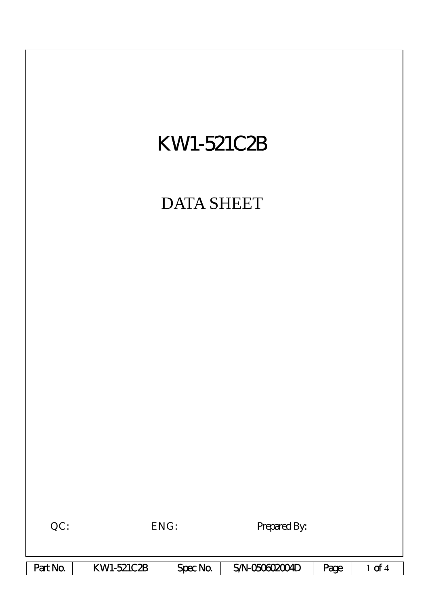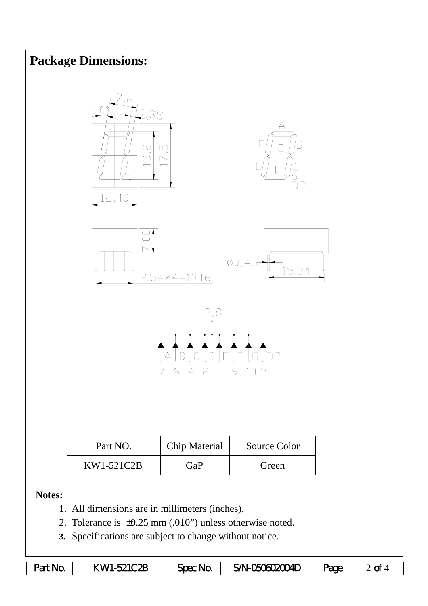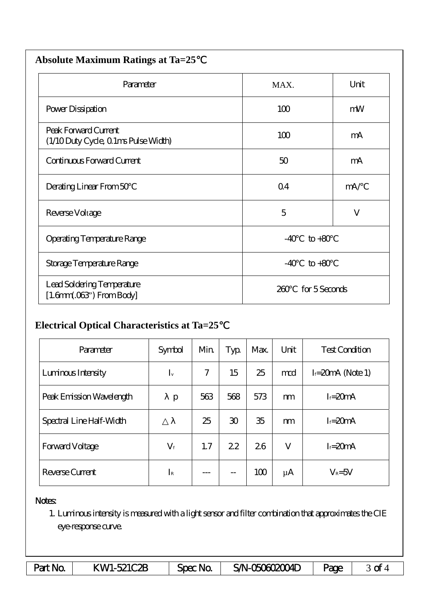| <b>Absolute Maximum Ratings at Ta=25</b>                           |                      |     |  |  |  |  |  |
|--------------------------------------------------------------------|----------------------|-----|--|--|--|--|--|
| Parameter                                                          | MAX.                 |     |  |  |  |  |  |
| Power Dissipation                                                  | 100                  | mW  |  |  |  |  |  |
| Peak Forward Current<br>(1/10 Duty Cycle, 0 1ms Pulse Width)       | 100                  | mA  |  |  |  |  |  |
| Continuous Forward Current                                         | 50                   | mA  |  |  |  |  |  |
| Derating Linear From 50                                            | Q <sub>4</sub>       | mA/ |  |  |  |  |  |
| Reverse Voltage                                                    | 5                    | V   |  |  |  |  |  |
| Operating Temperature Range                                        | $-40$<br>$to +80$    |     |  |  |  |  |  |
| Storage Temperature Range                                          | $-40$<br>$to+80$     |     |  |  |  |  |  |
| Lead Soldering Temperature<br>$[1.6mm.03$ <sup>"</sup> ) From Body | for 5 Seconds<br>260 |     |  |  |  |  |  |

## **Electrical Optical Characteristics at Ta=25**℃

| Parameter                | Symbol      | Min | Typ            | Max. | Unit    | <b>Test Condition</b> |
|--------------------------|-------------|-----|----------------|------|---------|-----------------------|
| Luninous Intensity       | $I_{v}$     | 7   | 15             | 25   | md      | $I = 20mA$ (Note 1)   |
| Peak Emission Wavelength | p           | 563 | 568            | 573  | m       | $I = 20mA$            |
| Spectral Line Half-Width |             | 25  | $\mathfrak{D}$ | 35   | m       | $I = 20mA$            |
| <b>Forward Voltage</b>   | $V_{\rm f}$ | 1.7 | 22             | 26   | V       | $I = 20mA$            |
| Reverse Current          | $I_{\rm R}$ |     | --             | 100  | $\mu$ A | $V_R = 5V$            |

## Notes:

1. Luminous intensity is measured with a light sensor and filter combination that approximates the CIE eye-response curve.

| Part No. | KW1-521C2B | Spec Na | SAN-050602004D | <b>age</b> | ~<br>ີ |
|----------|------------|---------|----------------|------------|--------|
|----------|------------|---------|----------------|------------|--------|